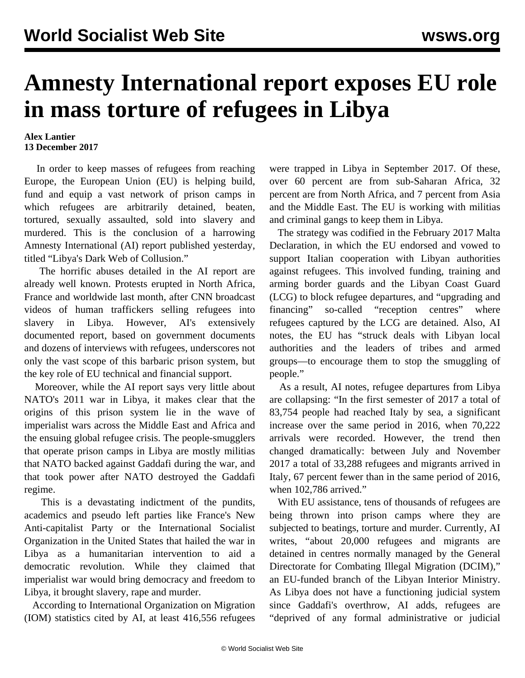## **Amnesty International report exposes EU role in mass torture of refugees in Libya**

## **Alex Lantier 13 December 2017**

 In order to keep masses of refugees from reaching Europe, the European Union (EU) is helping build, fund and equip a vast network of prison camps in which refugees are arbitrarily detained, beaten, tortured, sexually assaulted, sold into slavery and murdered. This is the conclusion of a harrowing Amnesty International (AI) report published yesterday, titled "Libya's Dark Web of Collusion."

 The horrific abuses detailed in the AI report are already well known. Protests erupted in North Africa, France and worldwide last month, after CNN broadcast videos of human traffickers selling refugees into slavery in Libya. However, AI's extensively documented report, based on government documents and dozens of interviews with refugees, underscores not only the vast scope of this barbaric prison system, but the key role of EU technical and financial support.

 Moreover, while the AI report says very little about NATO's 2011 war in Libya, it makes clear that the origins of this prison system lie in the wave of imperialist wars across the Middle East and Africa and the ensuing global refugee crisis. The people-smugglers that operate prison camps in Libya are mostly militias that NATO backed against Gaddafi during the war, and that took power after NATO destroyed the Gaddafi regime.

 This is a devastating indictment of the pundits, academics and pseudo left parties like France's New Anti-capitalist Party or the International Socialist Organization in the United States that hailed the war in Libya as a humanitarian intervention to aid a democratic revolution. While they claimed that imperialist war would bring democracy and freedom to Libya, it brought slavery, rape and murder.

 According to International Organization on Migration (IOM) statistics cited by AI, at least 416,556 refugees

were trapped in Libya in September 2017. Of these, over 60 percent are from sub-Saharan Africa, 32 percent are from North Africa, and 7 percent from Asia and the Middle East. The EU is working with militias and criminal gangs to keep them in Libya.

 The strategy was codified in the February 2017 Malta Declaration, in which the EU endorsed and vowed to support Italian cooperation with Libyan authorities against refugees. This involved funding, training and arming border guards and the Libyan Coast Guard (LCG) to block refugee departures, and "upgrading and financing" so-called "reception centres" where refugees captured by the LCG are detained. Also, AI notes, the EU has "struck deals with Libyan local authorities and the leaders of tribes and armed groups—to encourage them to stop the smuggling of people."

 As a result, AI notes, refugee departures from Libya are collapsing: "In the first semester of 2017 a total of 83,754 people had reached Italy by sea, a significant increase over the same period in 2016, when 70,222 arrivals were recorded. However, the trend then changed dramatically: between July and November 2017 a total of 33,288 refugees and migrants arrived in Italy, 67 percent fewer than in the same period of 2016, when 102,786 arrived."

 With EU assistance, tens of thousands of refugees are being thrown into prison camps where they are subjected to beatings, torture and murder. Currently, AI writes, "about 20,000 refugees and migrants are detained in centres normally managed by the General Directorate for Combating Illegal Migration (DCIM)," an EU-funded branch of the Libyan Interior Ministry. As Libya does not have a functioning judicial system since Gaddafi's overthrow, AI adds, refugees are "deprived of any formal administrative or judicial